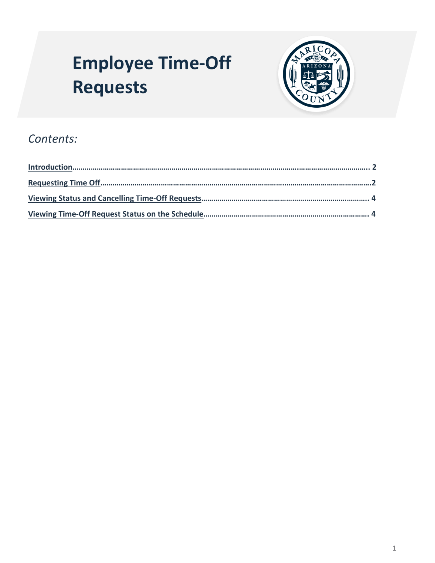# <span id="page-0-2"></span><span id="page-0-1"></span>**Employee Time-Off Requests**



## *Contents:*

<span id="page-0-0"></span>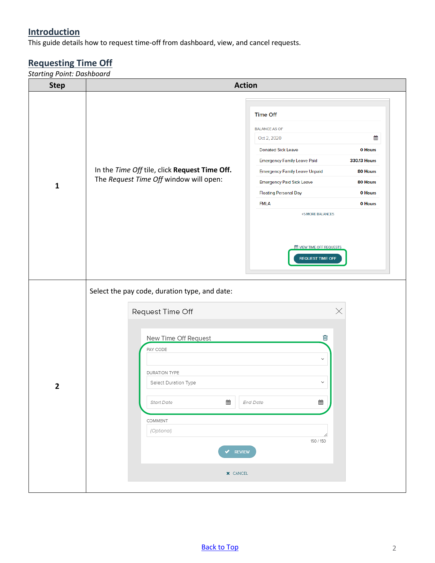### **Introduction**

This guide details how to request time-off from dashboard, view, and cancel requests.

## <span id="page-1-0"></span>**Requesting Time Off**

*Starting Point: Dashboard*

| <b>Step</b>    | <b>Action</b>                                                                                                                                                                                                                                                                                                                                                                                                                                                                                                           |  |  |
|----------------|-------------------------------------------------------------------------------------------------------------------------------------------------------------------------------------------------------------------------------------------------------------------------------------------------------------------------------------------------------------------------------------------------------------------------------------------------------------------------------------------------------------------------|--|--|
| $\mathbf{1}$   | <b>Time Off</b><br><b>BALANCE AS OF</b><br>雦<br>Oct 2, 2020<br><b>Donated Sick Leave</b><br>0 Hours<br><b>Emergency Family Leave Paid</b><br><b>330.13 Hours</b><br>In the Time Off tile, click Request Time Off.<br><b>Emergency Family Leave Unpaid</b><br>80 Hours<br>The Request Time Off window will open:<br><b>Emergency Paid Sick Leave</b><br>80 Hours<br><b>Floating Personal Day</b><br>0 Hours<br>0 Hours<br><b>FMLA</b><br>+5 MORE BALANCES<br><b>ME VIEW TIME OFF REQUESTS</b><br><b>REQUEST TIME OFF</b> |  |  |
| $\overline{2}$ | Select the pay code, duration type, and date:<br>Request Time Off<br>Х<br>圙<br>New Time Off Request<br>PAY CODE<br>$\checkmark$<br>DURATION TYPE<br>$\checkmark$<br>Select Duration Type<br>₩<br>▦<br><b>End Date</b><br>Start Date<br>COMMENT<br>(Optional)<br>h<br>150 / 150<br>REVIEW<br><b>X</b> CANCEL                                                                                                                                                                                                             |  |  |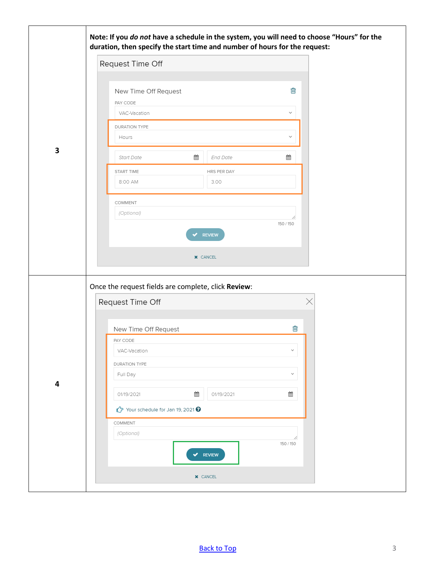|   | Note: If you do not have a schedule in the system, you will need to choose "Hours" for the |  |
|---|--------------------------------------------------------------------------------------------|--|
|   | duration, then specify the start time and number of hours for the request:                 |  |
|   | Request Time Off                                                                           |  |
|   |                                                                                            |  |
|   | 勔<br>New Time Off Request                                                                  |  |
|   | PAY CODE<br>VAC-Vacation<br>$\checkmark$                                                   |  |
|   | DURATION TYPE                                                                              |  |
|   | Hours<br>$\checkmark$                                                                      |  |
| 3 | 雦<br>▦<br>Start Date<br>End Date                                                           |  |
|   | START TIME<br>HRS PER DAY                                                                  |  |
|   | 3.00<br>8:00 AM                                                                            |  |
|   | COMMENT                                                                                    |  |
|   | (Optional)                                                                                 |  |
|   | 150 / 150<br><b>REVIEW</b>                                                                 |  |
|   |                                                                                            |  |
|   | <b>X</b> CANCEL                                                                            |  |
|   |                                                                                            |  |
|   | Once the request fields are complete, click Review:                                        |  |
|   | Request Time Off                                                                           |  |
|   |                                                                                            |  |
|   | 勔<br>New Time Off Request<br>PAY CODE                                                      |  |
|   | VAC-Vacation<br>$\checkmark$                                                               |  |
|   | DURATION TYPE                                                                              |  |
| 4 | $\checkmark$<br>Full Day                                                                   |  |
|   | ▦<br>▦<br>01/19/2021<br>01/19/2021                                                         |  |
|   | Your schedule for Jan 19, 2021 ?                                                           |  |
|   | COMMENT                                                                                    |  |
|   | (Optional)<br>150 / 150                                                                    |  |
|   | $\blacktriangleright$ REVIEW                                                               |  |
|   | <b>X</b> CANCEL                                                                            |  |
|   |                                                                                            |  |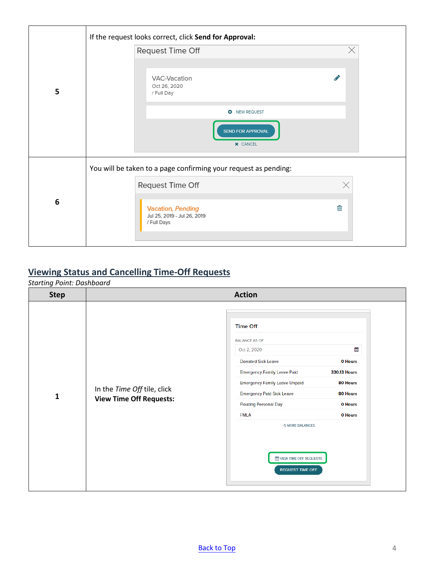| X<br>Request Time Off<br>P<br>VAC-Vacation<br>Oct 26, 2020<br>5<br>/ Full Day<br><b>O</b> NEW REQUEST<br><b>SEND FOR APPROVAL</b> |  |
|-----------------------------------------------------------------------------------------------------------------------------------|--|
|                                                                                                                                   |  |
|                                                                                                                                   |  |
|                                                                                                                                   |  |
| <b>X</b> CANCEL                                                                                                                   |  |
| You will be taken to a page confirming your request as pending:                                                                   |  |
| Request Time Off<br>×                                                                                                             |  |
| 6<br>匬<br>Vacation, Pending<br>Jul 25, 2019 - Jul 26, 2019<br>/ Full Days                                                         |  |

#### <span id="page-3-0"></span>**Viewing Status and Cancelling Time-Off Requests**

*Starting Point: Dashboard* 

| <b>Step</b>  |                                                               | <b>Action</b>                                                                                                                                                                                                                                                                                                                                                                                                     |
|--------------|---------------------------------------------------------------|-------------------------------------------------------------------------------------------------------------------------------------------------------------------------------------------------------------------------------------------------------------------------------------------------------------------------------------------------------------------------------------------------------------------|
| $\mathbf{1}$ | In the Time Off tile, click<br><b>View Time Off Requests:</b> | <b>Time Off</b><br><b>BALANCE AS OF</b><br>雦<br>Oct 2, 2020<br><b>Donated Sick Leave</b><br>0 Hours<br><b>Emergency Family Leave Paid</b><br>330.13 Hours<br><b>Emergency Family Leave Unpaid</b><br>80 Hours<br><b>Emergency Paid Sick Leave</b><br>80 Hours<br><b>Floating Personal Day</b><br>0 Hours<br><b>FMLA</b><br>0 Hours<br>+5 MORE BALANCES<br><b>MEW TIME OFF REQUESTS</b><br><b>REQUEST TIME OFF</b> |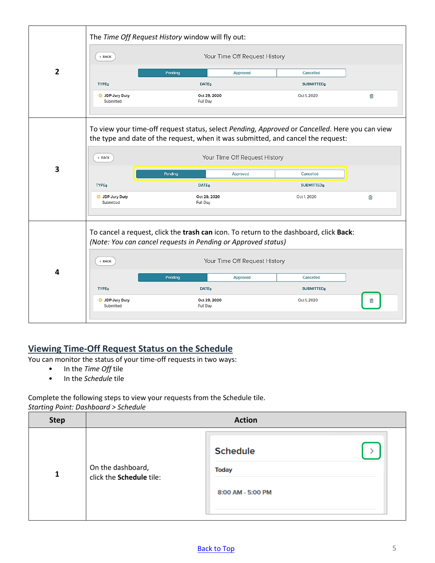|                |                                     | The Time Off Request History window will fly out:                                                                                                                                  |                   |   |
|----------------|-------------------------------------|------------------------------------------------------------------------------------------------------------------------------------------------------------------------------------|-------------------|---|
|                | < BACK                              | Your Time Off Request History                                                                                                                                                      |                   |   |
| $\overline{2}$ |                                     | Approved<br>Pending                                                                                                                                                                | Cancelled         |   |
|                | <b>TYPE</b>                         | <b>DATE:</b>                                                                                                                                                                       | <b>SUBMITTED</b>  |   |
|                | <b>O</b> JDP-Jury Duty<br>Submitted | Oct 29, 2020<br>Full Day                                                                                                                                                           | Oct 1, 2020       | 會 |
|                |                                     | To view your time-off request status, select Pending, Approved or Cancelled. Here you can view<br>the type and date of the request, when it was submitted, and cancel the request: |                   |   |
|                | $\langle$ BACK                      | Your Time Off Request History                                                                                                                                                      |                   |   |
| 3              |                                     | Pending<br>Approved                                                                                                                                                                | Cancelled         |   |
|                | <b>TYPE</b>                         | <b>DATE</b>                                                                                                                                                                        | <b>SUBMITTED</b>  |   |
|                | <b>O</b> JDP-Jury Duty<br>Submitted | Oct 29, 2020<br>Full Day                                                                                                                                                           | Oct 1, 2020       | 俞 |
|                |                                     |                                                                                                                                                                                    |                   |   |
|                |                                     | To cancel a request, click the trash can icon. To return to the dashboard, click Back:<br>(Note: You can cancel requests in Pending or Approved status)                            |                   |   |
| 4              | $<$ BACK                            | Your Time Off Request History                                                                                                                                                      |                   |   |
|                |                                     | Pending<br>Approved                                                                                                                                                                | Cancelled         |   |
|                | <b>TYPE:</b>                        | <b>DATE:</b>                                                                                                                                                                       | <b>SUBMITTED:</b> |   |
|                | <b>O</b> JDP-Jury Duty<br>Submitted | Oct 29, 2020<br>Full Day                                                                                                                                                           | Oct 1, 2020       |   |
|                |                                     |                                                                                                                                                                                    |                   |   |

#### <span id="page-4-0"></span>**Viewing Time-Off Request Status on the Schedule**

You can monitor the status of your time-off requests in two ways:

- In the *Time Off* tile
- In the *Schedule* tile

Complete the following steps to view your requests from the Schedule tile. *Starting Point: Dashboard > Schedule*

| <b>Step</b> |                                               | <b>Action</b>                                 |
|-------------|-----------------------------------------------|-----------------------------------------------|
| 1           | On the dashboard,<br>click the Schedule tile: | <b>Schedule</b><br>Today<br>8:00 AM - 5:00 PM |